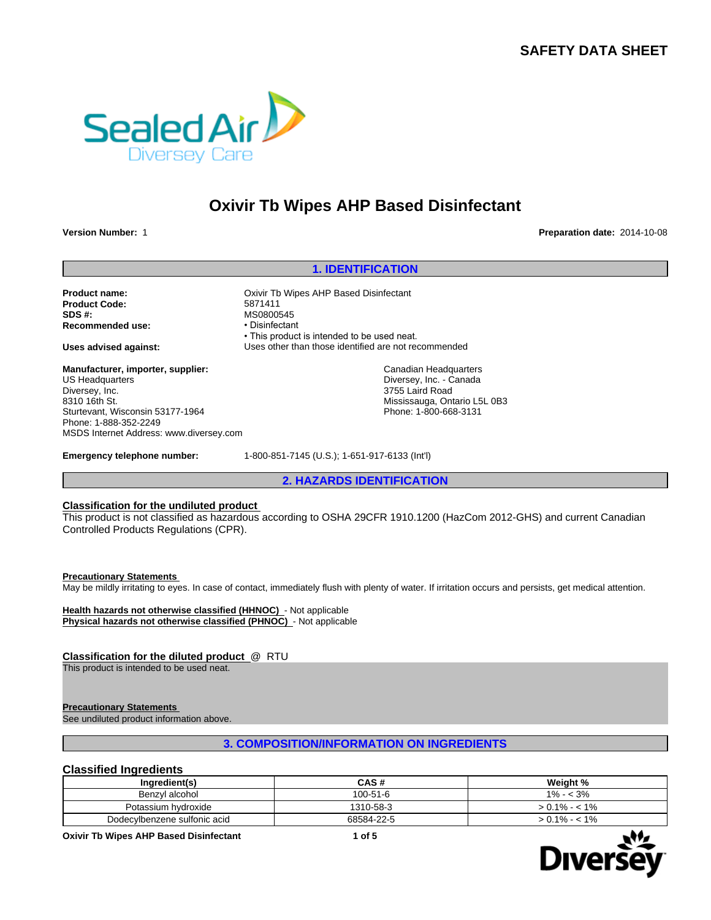# **SAFETY DATA SHEET**



# **Oxivir Tb Wipes AHP Based Disinfectant**

**Version Number:** 1 **Preparation date:** 2014-10-08

## **1. IDENTIFICATION**

**Product name:** Oxivir Tb Wipes AHP Based Disinfectant **Product Code:** 5871411 **SDS #:**<br> **Recommended use:**<br> **Recommended use:**<br> **COMPLIFY: Recommended use:** 

**Manufacturer, importer, supplier:** US Headquarters Diversey, Inc. 8310 16th St. Sturtevant, Wisconsin 53177-1964 Phone: 1-888-352-2249 MSDS Internet Address: www.diversey.com

• This product is intended to be used neat. **Uses advised against:** Uses other than those identified are not recommended

> Canadian Headquarters Diversey, Inc. - Canada 3755 Laird Road Mississauga, Ontario L5L 0B3 Phone: 1-800-668-3131

**Emergency telephone number:** 1-800-851-7145 (U.S.); 1-651-917-6133 (Int'l)

**2. HAZARDS IDENTIFICATION**

## **Classification for the undiluted product**

This product is not classified as hazardous according to OSHA 29CFR 1910.1200 (HazCom 2012-GHS) and current Canadian Controlled Products Regulations (CPR).

**Precautionary Statements** 

May be mildly irritating to eyes. In case of contact, immediately flush with plenty of water. If irritation occurs and persists, get medical attention.

**Health hazards not otherwise classified (HHNOC)** - Not applicable **Physical hazards not otherwise classified (PHNOC)** - Not applicable

## **Classification for the diluted product** @ RTU

This product is intended to be used neat.

## **Precautionary Statements**

See undiluted product information above.

## **3. COMPOSITION/INFORMATION ON INGREDIENTS**

## **Classified Ingredients**

| Ingredient(s)                | CAS#       | Weight %        |
|------------------------------|------------|-----------------|
| Benzyl alcohol               | 100-51-6   | $1\% - 3\%$     |
| Potassium hydroxide          | 1310-58-3  | $> 0.1\% - 1\%$ |
| Dodecylbenzene sulfonic acid | 68584-22-5 | $> 0.1\% - 1\%$ |

**Oxivir Tb Wipes AHP Based Disinfectant 1 of 5**

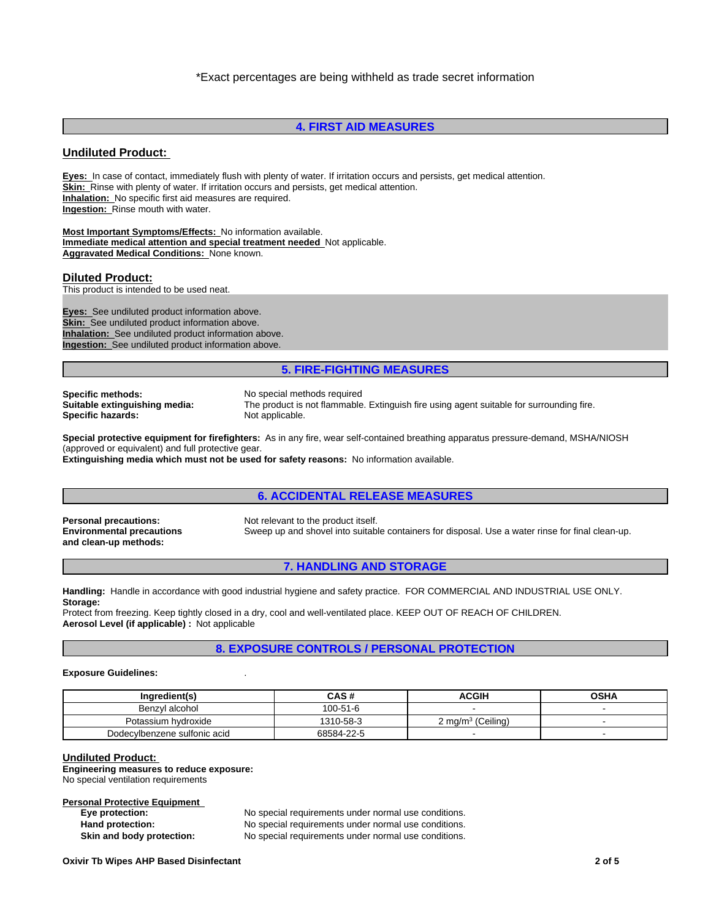## **4. FIRST AID MEASURES**

## **Undiluted Product:**

**Eyes:** In case of contact, immediately flush with plenty of water. If irritation occurs and persists, get medical attention. **Skin:** Rinse with plenty of water. If irritation occurs and persists, get medical attention. **Inhalation:** No specific first aid measures are required. **Ingestion:** Rinse mouth with water.

**Most Important Symptoms/Effects:** No information available. **Immediate medical attention and special treatment needed** Not applicable. **Aggravated Medical Conditions:** None known.

## **Diluted Product:**

This product is intended to be used neat.

**Eyes:** See undiluted product information above. **Skin:** See undiluted product information above. **Inhalation:** See undiluted product information above. **Ingestion:** See undiluted product information above.

## **5. FIRE-FIGHTING MEASURES**

**Specific methods:** No special methods required<br> **Suitable extinguishing media:** The product is not flammable **Specific hazards:** 

The product is not flammable. Extinguish fire using agent suitable for surrounding fire.<br>Not applicable.

**Special protective equipment for firefighters:** As in any fire, wear self-contained breathing apparatus pressure-demand, MSHA/NIOSH (approved or equivalent) and full protective gear. **Extinguishing media which must not be used for safety reasons:** No information available.

**Environmental precautions and clean-up methods:**

**Personal precautions:** Not relevant to the product itself. Sweep up and shovel into suitable containers for disposal. Use a water rinse for final clean-up.

## **7. HANDLING AND STORAGE**

**6. ACCIDENTAL RELEASE MEASURES**

**Handling:** Handle in accordance with good industrial hygiene and safety practice. FOR COMMERCIAL AND INDUSTRIAL USE ONLY. **Storage:**

Protect from freezing. Keep tightly closed in a dry, cool and well-ventilated place. KEEP OUT OF REACH OF CHILDREN. **Aerosol Level (if applicable) :** Not applicable

**8. EXPOSURE CONTROLS / PERSONAL PROTECTION**

#### **Exposure Guidelines:** .

| Ingredient(s)                | CAS #      | <b>ACGIH</b>                  | <b>OSHA</b> |
|------------------------------|------------|-------------------------------|-------------|
| Benzvl alcohol               | 100-51-6   |                               |             |
| Potassium hvdroxide          | 1310-58-3  | ? ma/m <sup>3</sup> (Ceilina) |             |
| Dodecylbenzene sulfonic acid | 68584-22-5 |                               |             |

#### **Undiluted Product:**

**Engineering measures to reduce exposure:** No special ventilation requirements

### **Personal Protective Equipment**

**Eye protection:** No special requirements under normal use conditions. Hand protection: No special requirements under normal use conditions. **Skin and body protection:** No special requirements under normal use conditions.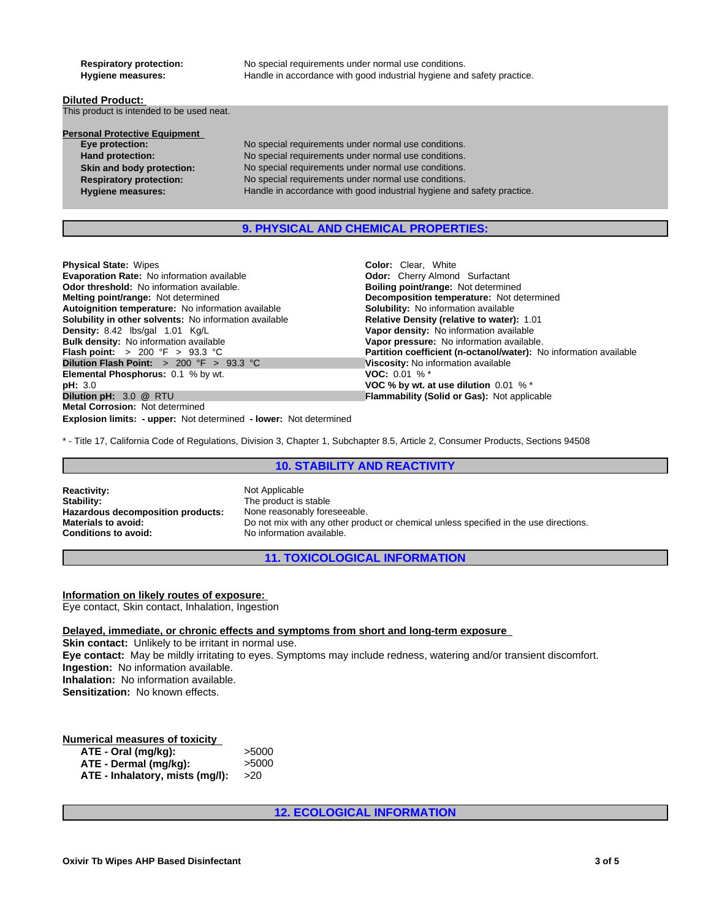**Respiratory protection:** No special requirements under normal use conditions. Hygiene measures: **Handle in accordance with good industrial hygiene and safety practice.** 

## **Diluted Product:**  This product is intended to be used neat.

| <b>Personal Protective Equipment</b> |                                                                        |
|--------------------------------------|------------------------------------------------------------------------|
| Eye protection:                      | No special requirements under normal use conditions.                   |
| <b>Hand protection:</b>              | No special requirements under normal use conditions.                   |
| Skin and body protection:            | No special requirements under normal use conditions.                   |
| <b>Respiratory protection:</b>       | No special requirements under normal use conditions.                   |
| <b>Hygiene measures:</b>             | Handle in accordance with good industrial hygiene and safety practice. |
|                                      |                                                                        |

## **9. PHYSICAL AND CHEMICAL PROPERTIES:**

**Color:** Clear, White

| <b>Physical State: Wipes</b> |  |
|------------------------------|--|
| Friencester Bets, Nic.       |  |

| <b>Evaporation Rate: No information available</b>                        | <b>Odor:</b> Cherry Almond Surfactant                             |
|--------------------------------------------------------------------------|-------------------------------------------------------------------|
| <b>Odor threshold:</b> No information available.                         | <b>Boiling point/range: Not determined</b>                        |
| <b>Melting point/range:</b> Not determined                               | Decomposition temperature: Not determined                         |
| Autoignition temperature: No information available                       | <b>Solubility:</b> No information available                       |
| <b>Solubility in other solvents:</b> No information available            | Relative Density (relative to water): 1.01                        |
| <b>Density:</b> 8.42 lbs/gal 1.01 Kg/L                                   | Vapor density: No information available                           |
| <b>Bulk density:</b> No information available                            | Vapor pressure: No information available.                         |
| <b>Flash point:</b> > 200 °F > 93.3 °C                                   | Partition coefficient (n-octanol/water): No information available |
| <b>Dilution Flash Point:</b> $> 200 \, \text{°F} > 93.3 \, \text{°C}$    | Viscosity: No information available                               |
| <b>Elemental Phosphorus:</b> 0.1 % by wt.                                | <b>VOC:</b> 0.01 % $*$                                            |
| <b>pH: 3.0</b>                                                           | VOC % by wt. at use dilution $0.01\%$ <sup>*</sup>                |
| Dilution pH: 3.0 @ RTU                                                   | <b>Flammability (Solid or Gas): Not applicable</b>                |
| <b>Metal Corrosion: Not determined</b>                                   |                                                                   |
| <b>Explosion limits: - upper:</b> Not determined - lower: Not determined |                                                                   |

\* - Title 17, California Code of Regulations, Division 3, Chapter 1, Subchapter 8.5, Article 2, Consumer Products, Sections 94508

## **10. STABILITY AND REACTIVITY**

**Reactivity:** Not Applicable<br> **Stability:** The product is **Hazardous decomposition products:**<br>Materials to avoid: **Conditions to avoid:** No information available.

The product is stable<br>None reasonably foreseeable. Do not mix with any other product or chemical unless specified in the use directions.

**11. TOXICOLOGICAL INFORMATION**

## **Information on likely routes of exposure:**

Eye contact, Skin contact, Inhalation, Ingestion

## **Delayed, immediate, or chronic effects and symptoms from short and long-term exposure**

**Skin contact:** Unlikely to be irritant in normal use. **Eye contact:** May be mildly irritating to eyes. Symptoms may include redness, watering and/or transient discomfort. **Ingestion:** No information available. **Inhalation:** No information available. **Sensitization:** No known effects.

## **Numerical measures of toxicity**

| ATE - Oral (mg/kg):             | >5000 |
|---------------------------------|-------|
| ATE - Dermal (mg/kg):           | >5000 |
| ATE - Inhalatory, mists (mg/l): | >20   |

**12. ECOLOGICAL INFORMATION**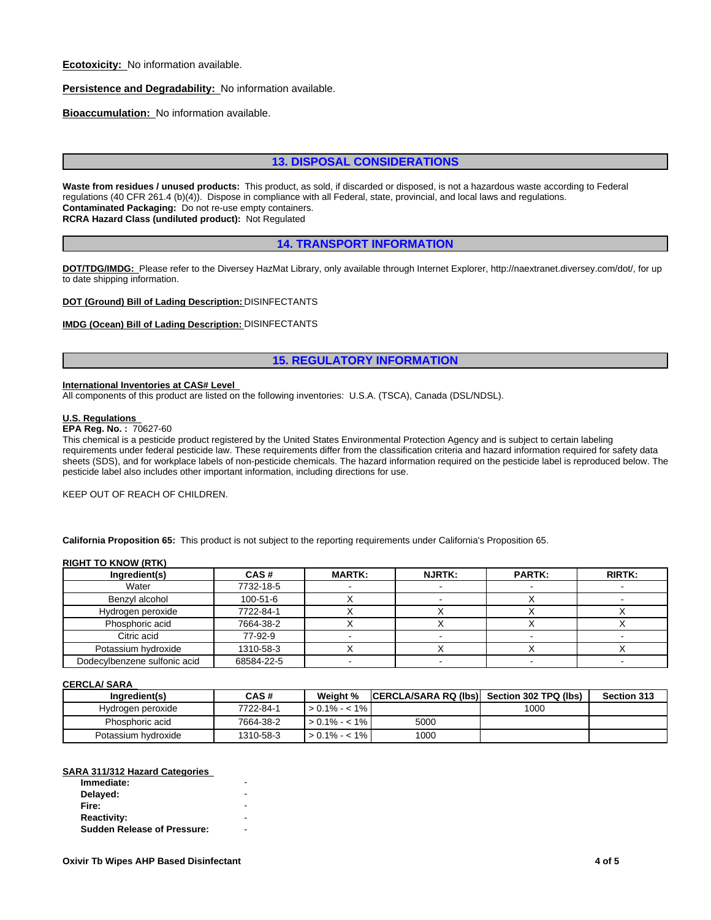**Ecotoxicity:** No information available.

**Persistence and Degradability:** No information available.

**Bioaccumulation:** No information available.

## **13. DISPOSAL CONSIDERATIONS**

**Waste from residues / unused products:** This product, as sold, if discarded or disposed, is not a hazardous waste according to Federal regulations (40 CFR 261.4 (b)(4)). Dispose in compliance with all Federal, state, provincial, and local laws and regulations. **Contaminated Packaging:** Do not re-use empty containers. **RCRA Hazard Class (undiluted product):** Not Regulated

## **14. TRANSPORT INFORMATION**

**DOT/TDG/IMDG:** Please refer to the Diversey HazMat Library, only available through Internet Explorer, http://naextranet.diversey.com/dot/, for up to date shipping information.

**DOT (Ground) Bill of Lading Description:** DISINFECTANTS

## **IMDG (Ocean) Bill of Lading Description:** DISINFECTANTS

## **15. REGULATORY INFORMATION**

#### **International Inventories at CAS# Level**

All components of this product are listed on the following inventories: U.S.A. (TSCA), Canada (DSL/NDSL).

#### **U.S. Regulations**

## **EPA Reg. No. :** 70627-60

This chemical is a pesticide product registered by the United States Environmental Protection Agency and is subject to certain labeling requirements under federal pesticide law. These requirements differ from the classification criteria and hazard information required for safety data sheets (SDS), and for workplace labels of non-pesticide chemicals. The hazard information required on the pesticide label is reproduced below. The pesticide label also includes other important information, including directions for use.

KEEP OUT OF REACH OF CHILDREN.

**California Proposition 65:** This product is not subject to the reporting requirements under California's Proposition 65.

#### **RIGHT TO KNOW (RTK)**

| Ingredient(s)                | CAS#           | <b>MARTK:</b> | <b>NJRTK:</b> | <b>PARTK:</b> | <b>RIRTK:</b> |
|------------------------------|----------------|---------------|---------------|---------------|---------------|
| Water                        | 7732-18-5      |               |               |               |               |
| Benzvl alcohol               | $100 - 51 - 6$ |               |               |               |               |
| Hydrogen peroxide            | 7722-84-1      |               |               |               |               |
| Phosphoric acid              | 7664-38-2      |               |               |               |               |
| Citric acid                  | 77-92-9        |               |               |               |               |
| Potassium hydroxide          | 1310-58-3      |               |               |               |               |
| Dodecylbenzene sulfonic acid | 68584-22-5     |               |               |               |               |

#### **CERCLA/ SARA**

| Ingredient(s)       | CAS#      | Weight %        | <b>CERCLA/SARA RQ (Ibs)</b> | Section 302 TPQ (lbs) | Section 313 |
|---------------------|-----------|-----------------|-----------------------------|-----------------------|-------------|
| Hydrogen peroxide   | 7722-84-1 | $> 0.1\% - 1\%$ |                             | 1000                  |             |
| Phosphoric acid     | 7664-38-2 | $> 0.1\% - 1\%$ | 5000                        |                       |             |
| Potassium hydroxide | 1310-58-3 | $> 0.1\% - 1\%$ | 1000                        |                       |             |

## **SARA 311/312 Hazard Categories**

| Immediate:                         | - |  |
|------------------------------------|---|--|
| Delayed:                           |   |  |
| Fire:                              | - |  |
| <b>Reactivity:</b>                 |   |  |
| <b>Sudden Release of Pressure:</b> | - |  |